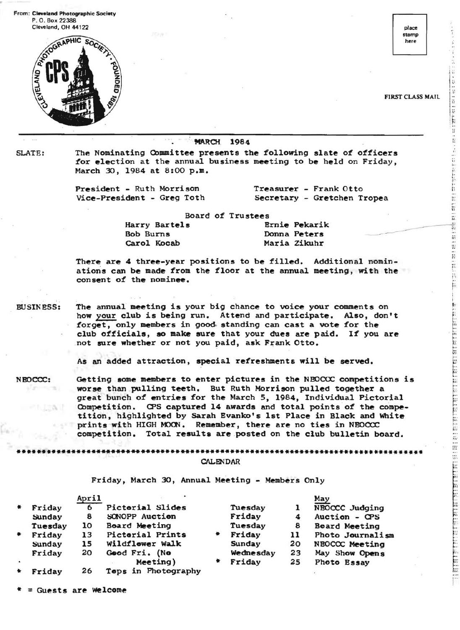From: Cleveland Photographic Society P. O. Box 22388



**MARCH 1984** 

SLATE: The Nominating Committee presents the following slate of officers .. for election at the annual business meeting to be held on Friday, March 30, 1984 at 8:00 p.m.

President - Ruth Morrison Treasurer - Frank Otto " Vice-President - Greg Toth " Secretary - Gretchen Tropea - " ~ .. ..

Board of Trustees

Harry Bartels Bob Burns

Donna Peters Ernie Pekarik Maria Zikuhr

There are 4 three-year positions to be filled. Additional nominations can be made from the floor at the annual meeting, with the consent of the nominee.

BUSINESS: The annual meeting is your big chance to voice your comments on how your club is being run. Attend and participate. Also, don't forget, only members in goo6- standing can cast a vote for the club officials, so make sure that your dues are paid. If you are .not sure whether or not you paid, ask Frank Otto.

As an added attraction, special refreshments will be served.

NBOCCC: Getting some members to enter pictures in the NBOCCC competitions is worse than pulling teeth. But Ruth Morrison pulled together a great bunch of entries for the March 5, 1984, Individual Pictorial Competition. CPS captured 14 awards and total points of the competition, highlighted by Sarah Evanko's 1st Place in Black and White prints with HIGH MOON. Remember, there are no ties in NBOCCC competition. Total results are posted on the club bulletin board.

Friday, March 30, Annual Meeting - Members Only

•••\*.\*\*••••••\*•••••••••••••••••••\*\*•••••\*••••••••••••\*•••••••••••\*•••••••••••••••\* CALENDAR

|           |         | April |                         |   |                  |    | May                  |
|-----------|---------|-------|-------------------------|---|------------------|----|----------------------|
| $\bullet$ | Friday  | 6     | Pictorial Slides        |   | Tuesday          |    | NEOCCC Judging       |
|           | Sunday  | 8     | SONOPP Auction          |   | Friday           |    | Auction - CPS        |
|           | Tuesday | 10    | Board Meeting           |   | Tuesday          | 8  | <b>Board Meeting</b> |
| ٠         | Friday  | 13    | <b>Pictorial Prints</b> |   | Friday           | 11 | Photo Journalism     |
|           | Sunday  | 15    | Wildflower Walk         |   | Sunday           | 20 | NEOCCC Meeting       |
|           | Friday  | 20    | Good Fri. (No           |   | <b>Wednesday</b> | 23 | May Show Opens       |
|           |         |       | Meeting)                | ۰ | Friday           | 25 | Photo Essay          |
| ۰         | Friday  | 26    | Teps in Photography     |   |                  |    |                      |

Guests are Welcome

stamp here

I~. ! ..

I;:' It: 1r

t F,.

I

:::

FIRST CLASS MAIL